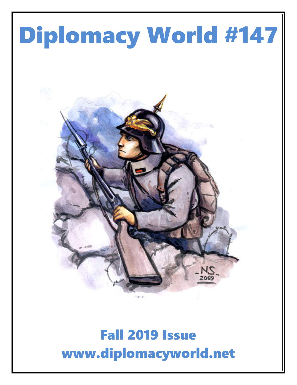

# www.diplomacyworld.net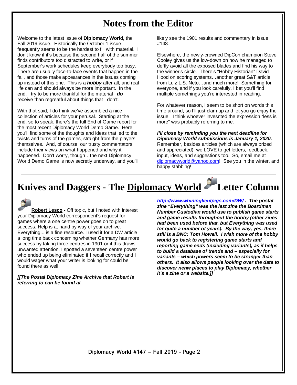# **Notes from the Editor**

Welcome to the latest issue of **Diplomacy World,** the Fall 2019 issue. Historically the October 1 issue feequently seems to be the hardest to fill with material. I don't know if it's because the second half of the summer finds contributors too distracted to write, or if September's work schedules keep everybody too busy. There are usually face-to-face events that happen in the fall, and those make appearances in the issues coming up instead of this one. This is a *hobby* after all, and real life can and should always be more important. In the end, I try to be more thankful for the material I *do* receive than regreatful about things that I don't.

With that said, I do think we've assembled a nice collection of articles for your perusal. Starting at the end, so to speak, there's the full End of Game report for the most recent Diplomacy World Demo Game. Here you'll find some of the thoughts and ideas that led to the twists and turns of the games, straight from the players themselves. And, of course, our trusty commentators include their views on what happened and why it happened. Don't worry, though...the next Diplomacy World Demo Game is now secretly underway, and you'll likely see the 1901 results and commentary in issue #148.

Elsewhere, the newly-crowned DipCon champion Steve Cooley gives us the low-down on how he managed to deftly avoid all the exposed blades and find his way to the winner's circle. There's "Hobby Historian" David Hood on scoring systems…another great S&T article from Luiz L.S. Neto…and much more! Something for everyone, and if you look carefully, I bet you'll find multiple somethings you're interested in reading.

For whatever reason, I seem to be short on words this time around, so I'll just clam up and let you go enjoy the issue. I think whoever invesnted the expression "less is more" was probably referring to me.

*I'll close by reminding you the next deadline for Diplomacy World submissions is January 1, 2020.* Remember, besides articles (which are always prized and appreciated), we LOVE to get letters, feedback, input, ideas, and suggestions too. So, email me at [diplomacyworld@yahoo.com!](mailto:diplomacyworld@yahoo.com) See you in the winter, and happy stabbing!





**Robert Lesco -** Off topic, but I noted with interest your Diplomacy World correspondent's request for games where a one centre power goes on to great success. Help is at hand by way of your archive. Everything... is a fine resource. I used it for a DW article a long time back concerning whether Germany has more success by taking three centres in 1901 or if this draws unwanted attention. I spotted a seventeen centre power who ended up being eliminated if I recall correctly and I would wager what your writer is looking for could be found there as well.

*[[The Postal Diplomacy Zine Archive that Robert is referring to can be found at* 

*<http://www.whiningkentpigs.com/DW/> . The postal zine "Everything" was the last zine the Boardman Number Custodian would use to publish game starts and game results throughout the hobby (other zines had been used before that, but Everything was used for quite a number of years). By the way, yes, there still is a BNC: Tom Howell. I wish more of the hobby would go back to registering game starts and reporting game ends (including variants), as if helps to build a database of trends and – especially for variants – which powers seem to be stronger than others. It also allows people looking over the data to discover nenw places to play Diplomacy, whether it's a zine or a website.]]*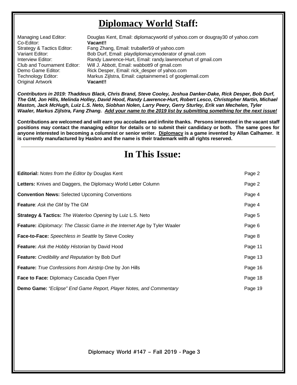# **Diplomacy World Staff:**

| Managing Lead Editor:<br>Co-Editor: | Douglas Kent, Email: diplomacyworld of yahoo.com or dougray30 of yahoo.com<br>Vacant!! |
|-------------------------------------|----------------------------------------------------------------------------------------|
| Strategy & Tactics Editor:          | Fang Zhang, Email: truballer59 of yahoo.com                                            |
| Variant Editor:                     | Bob Durf, Email: playdiplomacymoderator of gmail.com                                   |
| Interview Editor:                   | Randy Lawrence-Hurt, Email: randy.lawrencehurt of gmail.com                            |
| Club and Tournament Editor:         | Will J. Abbott, Email: wabbott9 of gmail.com                                           |
| Demo Game Editor:                   | Rick Desper, Email: rick_desper of yahoo.com                                           |
| Technology Editor:                  | Markus Zijlstra, Email: captainmeme1 of googlemail.com                                 |
| Original Artwork                    | Vacant!!                                                                               |

*Contributors in 2019: Thaddeus Black, Chris Brand, Steve Cooley, Joshua Danker-Dake, Rick Desper, Bob Durf, The GM, Jon Hills, Melinda Holley, David Hood, Randy Lawrence-Hurt, Robert Lesco, Christopher Martin, Michael Maston, Jack McHugh, Luiz L.S. Neto, Siobhan Nolen, Larry Peery, Gerry Sturley, Erik van Mechelen, Tyler Waaler, Markus Zijlstra, Fang Zhang. Add your name to the 2019 list by submitting something for the next issue!*

**Contributions are welcomed and will earn you accolades and infinite thanks. Persons interested in the vacant staff positions may contact the managing editor for details or to submit their candidacy or both. The same goes for anyone interested in becoming a columnist or senior writer. Diplomacy is a game invented by Allan Calhamer. It is currently manufactured by Hasbro and the name is their trademark with all rights reserved.**

# **In This Issue:**

| <b>Editorial:</b> Notes from the Editor by Douglas Kent                                 | Page 2  |
|-----------------------------------------------------------------------------------------|---------|
| Letters: Knives and Daggers, the Diplomacy World Letter Column                          | Page 2  |
| <b>Convention News: Selected Upcoming Conventions</b>                                   | Page 4  |
| Feature: Ask the GM by The GM                                                           | Page 4  |
| Strategy & Tactics: The Waterloo Opening by Luiz L.S. Neto                              | Page 5  |
| <b>Feature:</b> <i>iDiplomacy: The Classic Game in the Internet Age by Tyler Waaler</i> | Page 6  |
| Face-to-Face: Speechless in Seattle by Steve Cooley                                     | Page 8  |
| <b>Feature:</b> Ask the Hobby Historian by David Hood                                   | Page 11 |
| <b>Feature:</b> Credibility and Reputation by Bob Durf                                  | Page 13 |
| <b>Feature:</b> True Confessions from Airstrip One by Jon Hills                         | Page 16 |
| <b>Face to Face: Diplomacy Cascadia Open Flyer</b>                                      | Page 18 |
| <b>Demo Game: "Eclipse" End Game Report, Player Notes, and Commentary</b>               | Page 19 |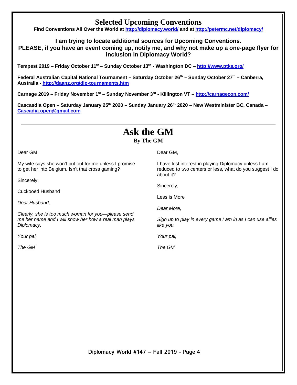#### **Selected Upcoming Conventions**

**Find Conventions All Over the World at<http://diplomacy.world/> and at<http://petermc.net/diplomacy/>**

**I am trying to locate additional sources for Upcoming Conventions.** 

**PLEASE, if you have an event coming up, notify me, and why not make up a one-page flyer for inclusion in Diplomacy World?**

**Tempest 2019 – Friday October 11th – Sunday October 13th - Washington DC – <http://www.ptks.org/>**

**Federal Australian Capital National Tournament – Saturday October 26th – Sunday October 27th – Canberra, Australia - <http://daanz.org/dip-tournaments.htm>**

**Carnage 2019 – Friday November 1st – Sunday November 3rd - Killington VT – <http://carnagecon.com/>**

**Cascasdia Open – Saturday January 25th 2020 – Sunday January 26th 2020 – New Westminister BC, Canada – [Cascadia.open@gmail.com](mailto:Cascadia.open@gmail.com)**

# **Ask the GM**

**By The GM**

Dear GM,

My wife says she won't put out for me unless I promise to get her into Belgium. Isn't that cross gaming?

Sincerely,

Cuckooed Husband

*Dear Husband,*

*Clearly, she is too much woman for you—please send me her name and I will show her how a real man plays Diplomacy.* 

*Your pal,*

*The GM*

Dear GM,

I have lost interest in playing Diplomacy unless I am reduced to two centers or less, what do you suggest I do about it?

Sincerely,

Less is More

*Dear More,*

*Sign up to play in every game I am in as I can use allies like you.*

*Your pal,*

*The GM*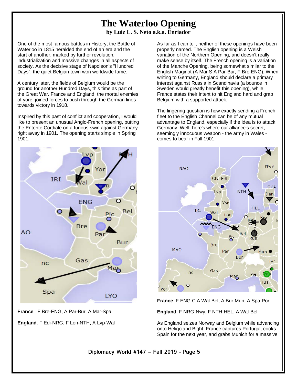# **The Waterloo Opening**

**by Luiz L. S. Neto a.k.a. Enriador**

One of the most famous battles in History, the Battle of Waterloo in 1815 heralded the end of an era and the start of another, marked by further revolution, industrialization and massive changes in all aspects of society. As the decisive stage of Napoleon's "Hundred Days", the quiet Belgian town won worldwide fame.

A century later, the fields of Belgium would be the ground for another Hundred Days, this time as part of the Great War. France and England, the mortal enemies of yore, joined forces to push through the German lines towards victory in 1918.

Inspired by this past of conflict and cooperation, I would like to present an unusual Anglo-French opening, putting the Entente Cordiale on a furious swirl against Germany right away in 1901. The opening starts simple in Spring 1901:



**France**: F Bre-ENG, A Par-Bur, A Mar-Spa **England**: F Edi-NRG, F Lon-NTH, A Lvp-Wal

As far as I can tell, neither of these openings have been properly named. The English opening is a Welsh variation of the Northern Opening, and doesn't really make sense by itself. The French opening is a variation of the Manche Opening, being somewhat similar to the English Maginot (A Mar S A Par-Bur, F Bre-ENG). When writing to Germany, England should declare a primary interest against Russia in Scandinavia (a bounce in Sweden would greatly benefit this opening), while France states their intent to hit England hard and grab Belgium with a supported attack.

The lingering question is how exactly sending a French fleet to the English Channel can be of any mutual advantage to England, especially if the idea is to attack Germany. Well, here's where our alliance's secret, seemingly innocuous weapon - the army in Wales comes to bear in Fall 1901:



**France**: F ENG C A Wal-Bel, A Bur-Mun, A Spa-Por

**England**: F NRG-Nwy, F NTH-HEL, A Wal-Bel

As England seizes Norway and Belgium while advancing onto Heligoland Bight, France captures Portugal, cooks Spain for the next year, and grabs Munich for a massive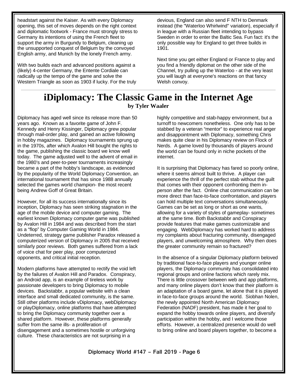headstart against the Kaiser. As with every Diplomacy opening, this set of moves depends on the right context and diplomatic footwork - France must strongly stress to Germany its intentions of using the French fleet to support the army in Burgundy to Belgium, cleaning up the unsupported conquest of Belgium by the convoyed English army, and Munich by the lonely French army.

With two builds each and advanced positions against a (likely) 4-center Germany, the Entente Cordiale can radically up the tempo of the game and solve the Western Triangle as soon as 1903 if lucky. For the truly

devious, England can also send F NTH to Denmark instead (the "Waterloo Whirlwind" variation), especially if in league with a Russian fleet intending to bypass Sweden in order to enter the Baltic Sea. Fun fact: it's the only possible way for England to get three builds in 1901.

Next time you get either England or France to play and you find a friendly diplomat on the other side of the Channel, try pulling up the Waterloo - at the very least you will laugh at everyone's reactions on that fancy Welsh convoy.

### **iDiplomacy: The Classic Game in the Internet Age by Tyler Waaler**

Diplomacy has aged well since its release more than 50 years ago. Known as a favorite game of John F. Kennedy and Henry Kissinger, Diplomacy grew popular through mail-order play, and gained an active following in hobby magazines. Diplomacy tournaments sprung up in the 1970s, after which Avalon Hill bought the rights to the game, publishing the classic board we know well today. The game adjusted well to the advent of email in the 1980's and peer-to-peer tournaments increasingly became a part of the hobby's landscape, as evidenced by the popularity of the World Diplomacy Convention, an international tournament that has since 1988 annually selected the games world champion- the most recent being Andrew Goff of Great Britain.

However, for all its success internationally since its inception, Diplomacy has seen striking stagnation in the age of the mobile device and computer gaming. The earliest known Diplomacy computer game was published by Avalon Hill in 1984 and was described from the start as a "flop" by Computer Gaming World in 1984. Undeterred, strategy game publisher Paradox released a computerized version of Diplomacy in 2005 that received similarly poor reviews. Both games suffered from a lack of voice chat for peer play, poor computerized opponents, and critical initial reception.

Modern platforms have attempted to rectify the void left by the failures of Avalon Hill and Paradox. Conspiracy, an Android app, is an example of tireless work by passionate developers to bring Diplomacy to mobile devices. Backstabbr, a popular website with a clean interface and small dedicated community, is the same. Still other platforms include vDiplomacy, webDiplomacy or playDiplomacy, online platforms that have attempted to bring the Diplomacy community together over a shared platform. However, these platforms generally suffer from the same ills- a proliferation of disengagement and a sometimes hostile or unforgiving culture. These characteristics are not surprising in a

highly competitive and stab-happy environment, but a turnoff to newcomers nonetheless. One only has to be stabbed by a veteran "mentor" to experience real anger and disappointment with Diplomacy, something Chris makes quite clear in his Diplomacy review on Flock of Nerds. A game loved by thousands of players around the world can be found only in niche pockets of the internet.

It is surprising that Diplomacy has fared so poorly online, where it seems almost built to thrive. A player can experience the thrill of the perfect stab without the guilt that comes with their opponent confronting them inperson after the fact. Online chat communication can be more direct than face-to-face confrontation, and players can hold multiple text conversations simultaneously. Games can be set as long or short as one wants, allowing for a variety of styles of gameplay- sometimes at the same time. Both Backstabbr and Conspiracy provide features that make games customizable and engaging. WebDiplomacy has worked hard to address my complaints about fracturing community, disengaged players, and unwelcoming atmosphere. Why then does the greater community remain so fractured?

In the absence of a singular Diplomacy platform beloved by traditional face-to-face players and younger online players, the Diplomacy community has consolidated into regional groups and online factions which rarely mix. There is little crossover between web and app platforms, and many online players don't know that their platform is an adaptation of a board game, let alone that it is played in face-to-face groups around the world. Siobhan Nolen, the newly appointed North American Diplomacy Federation (NADF) president, has made it her goal to expand the hobby towards online players, and diversify participation within the hobby, and I welcome those efforts. However, a centralized presence would do well to bring online and board players together, to become a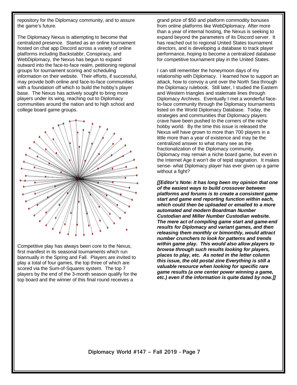repository for the Diplomacy community, and to assure the game's future.

The Diplomacy Nexus is attempting to become that centralized presence. Started as an online tournament hosted on chat app Discord across a variety of online platforms including Backstabbr, Conspiracy, and WebDiplomacy, the Nexus has begun to expand outward into the face-to-face realm, petitioning regional groups for tournament scoring and scheduling information on their website. Their efforts, if successful, may provide both online and face-to-face communities with a foundation off which to build the hobby's player base. The Nexus has actively sought to bring more players under its wing, reaching out to Diplomacy communities around the nation and to high school and college board game groups.



Competitive play has always been core to the Nexus, first manifest in its seasonal tournaments which run biannually in the Spring and Fall. Players are invited to play a total of four games, the top three of which are scored via the Sum-of-Squares system. The top 7 players by the end of the 3-month season qualify for the top board and the winner of this final round receives a

grand prize of \$50 and platform commodity bonuses from online platforms like WebDiplomacy. After more than a year of internal hosting, the Nexus is seeking to expand beyond the parameters of its Discord server. It has reached out to regional United States tournament directors, and is developing a database to track player performance, hoping to become a centralized database for competitive tournament play in the United States.

I can still remember the honeymoon days of my relationship with Diplomacy. I learned how to support an attack, how to convoy a unit over the North Sea through the Diplomacy rulebook. Still later, I studied the Eastern and Western triangles and stalemate lines through Diplomacy Archives. Eventually I met a wonderful faceto-face community through the Diplomacy tournaments listed on the World Diplomacy Database. Today, the strategies and communities that Diplomacy players crave have been pushed to the corners of the niche hobby world. By the time this issue is released the Nexus will have grown to more than 700 players in a little more than a year of existence and may be the centralized answer to what many see as the fractionalization of the Diplomacy community. Diplomacy may remain a niche board game, but even in the Internet Age it won't die of tepid stagnation. It makes sense- what Diplomacy player has ever given up a game without a fight?

*[[Editor's Note: It has long been my opinion that one of the easiest ways to build crossover between platforms and forums is to create a consistent game start and game end reporting function within each, which could then be uploaded or emailed to a more automated and modern Boardman Number Custodian and Miller Number Custodian website. The mere act of compiling game start and game-end results for Diplomacy and variant games, and then releasing them monthly or bimonthly, would attract number crunchers to look for patterns and trends within game play. This would also allow players to browse through such results looking for players, places to play, etc. As noted in the letter column this issue, the old postal zine Everything is still a valuable resource when looking for specific rare game results (a one center power winning a game, etc.) even if the information is quite dated by now.]]*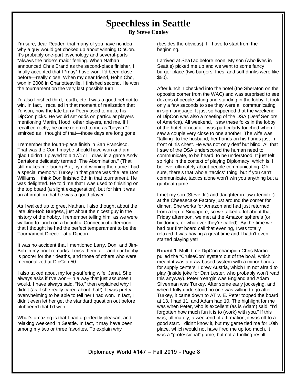## **Speechless in Seattle By Steve Cooley**

I'm sure, dear Reader, that many of you have no idea why a guy would get choked up about winning DipCon. It's probably one-part psychology and several-parts "always the bride's maid" feeling. When Nathan announced Chris Brand as the second-place finisher, I finally accepted that I \*may\* have won. I'd been close before—really close. When my dear friend, Hohn Cho, won in 2006 in Charlottesville, I finished second. He won the tournament on the very last possible turn.

I'd also finished third, fourth, etc. I was a good bet not to win. In fact, I recalled in that moment of realization that I'd won, how the late Larry Peery used to make his DipCon picks. He would set odds on particular players mentioning Martin, Hood, other players, and me. If I recall correctly, he once referred to me as "boyish." I smirked as I thought of that—those days are long gone.

I remember the fourth-place finish in San Francisco. That was the Con I maybe should have won and am glad I didn't. I played to a 17/17 IT draw in a game Andy Bartalone delicately termed "The Abomination." (That still makes me laugh) But, by not winning the game I had a special memory: Turkey in that game was the late Don Williams. I think Don finished 6th in that tournament. He was delighted. He told me that I was used to finishing on the top board (a slight exaggeration), but for him it was an affirmation that he was a good player.

As I walked up to greet Nathan, I also thought about the late Jim-Bob Burgess, just about the nicest guy in the history of the hobby. I remember telling him, as we were walking to lunch on a beautiful Connecticut afternoon, that I thought he had the perfect temperament to be the Tournament Director at a Dipcon.

It was no accident that I mentioned Larry, Don, and Jim-Bob in my brief remarks. I miss them all—and our hobby is poorer for their deaths, and those of others who were memorialized at DipCon 50.

I also talked about my long-suffering wife, Janet. She always asks if I've won—in a way that just assumes I would. I have always said, "No," then explained why I didn't (as if she really cared about that!). It was pretty overwhelming to be able to tell her I had won. In fact, I didn't even let her get the standard question out before I blubbered that I'd won.

What's amazing is that I had a perfectly pleasant and relaxing weekend in Seattle. In fact, it may have been among my two or three favorites. To explain why

(besides the obvious), I'll have to start from the beginning.

I arrived at SeaTac before noon. My son (who lives in Seattle) picked me up and we went to some fancy burger place (two burgers, fries, and soft drinks were like \$50).

After lunch, I checked into the hotel (the Sheraton on the opposite corner from the WAC) and was surprised to see dozens of people sitting and standing in the lobby. It took only a few seconds to see they were all communicating in sign language. It just so happened that the weekend of DipCon was also a meeting of the DSA (Deaf Seniors of America). All weekend, I saw these folks in the lobby of the hotel or near it. I was particularly touched when I saw a couple very close to one another. The wife was "talking" to the husband, her hands on his hands just in front of his chest. He was not only deaf but blind. All that I saw of the DSA underscored the human need to communicate, to be heard, to be understood. It just felt so right in the context of playing Diplomacy, which is, I believe, ultimately about people communicating. Oh, sure, there's that whole "tactics" thing, but if you can't communicate, tactics alone won't win you anything but a gunboat game.

I met my son (Steve Jr.) and daughter-in-law (Jennifer) at the Cheesecake Factory just around the corner for dinner. She works for Amazon and had just returned from a trip to Singapore, so we talked a lot about that. Friday afternoon, we met at the Amazon sphere's (or biodomes, or whatever they're called). By the time we had our first board call that evening, I was totally relaxed. I was having a great time and I hadn't even started playing yet!

**Round 1**: Multi-time DipCon champion Chris Martin pulled the "CruiseCon" system out of the bowl, which meant it was a draw-based system with a minor bonus for supply centers. I drew Austria, which I'm not afraid to play (inside joke for Dan Lester, who probably won't read this anyway). Peter Yeargin was England and Adam Silverman was Turkey. After some early jockeying, and when I fully understood no one was willing to go after Turkey, it came down to AT v. E. Peter topped the board at 13, I had 11, and Adam had 10. The highlight for me was when Peter, who is excellent (as is Adam) said, "I'd forgotten how much fun it is to (work) with you." If this was, ultimately, a weekend of affirmation, it was off to a good start. I didn't know it, but my game tied me for 10th place, which would not have fired me up too much. It was a "professional" game, but not a thrilling result.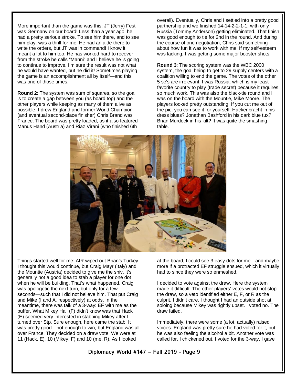More important than the game was this: JT (Jerry) Fest was Germany on our board! Less than a year ago, he had a pretty serious stroke. To see him there, and to see him play, was a thrill for me. He had an aide there to write the orders, but JT was in command! I know it meant a lot to him too. He has worked hard to recover from the stroke he calls "Manni" and I believe he is going to continue to improve. I'm sure the result was not what he would have wanted, but he did it! Sometimes playing the game is an accomplishment all by itself—and this was one of those times.

**Round 2**: The system was sum of squares, so the goal is to create a gap between you (as board top) and the other players while keeping as many of them alive as possible. I drew England and former World Champion (and eventual second-place finisher) Chris Brand was France. The board was pretty loaded, as it also featured Manus Hand (Austria) and Riaz Virani (who finished 6th

overall). Eventually, Chris and I settled into a pretty good partnership and we finished 14-14-2-2-1-1, with only Russia (Tommy Anderson) getting eliminated. That finish was good enough to tie for 2nd in the round. And during the course of one negotiation, Chris said something about how fun it was to work with me. If my self-esteem was lacking, I was getting some major booster shots.

**Round 3**: The scoring system was the WBC 2000 system, the goal being to get to 29 supply centers with a coalition willing to end the game. The votes of the other 5 sc's are irrelevant. I was Russia, which is my least favorite country to play (trade secret) because it requires so much work. This was also the black-tie round and I was on the board with the Mountie, Mike Moore. The players looked pretty outstanding. If you cut me out of the pic, you can see it for yourself. Hackenbracht in his dress blues? Jonathan Bashford in his dark blue tux? Brian Murdock in his kilt? It was quite the smashing table.



Things started well for me: AIR wiped out Brian's Turkey. I thought this would continue, but Craig Mayr (Italy) and the Mountie (Austria) decided to give me the shiv. It's generally not a good idea to stab a player for one dot when he will be building. That's what happened. Craig was apologetic the next turn, but only for a few seconds—such that I did not believe him. That put Craig and Mike (I and A, respectively) at odds. In the meantime, there was talk of a 3-way: EF with me as the buffer. What Mikey Hall (F) didn't know was that Hack (E) seemed very interested in stabbing Mikey after I turned over Stp. Sure enough, here came the stab! It was pretty good—not enough to win, but England was all over France. They decided on a draw vote. We were at 11 (Hack, E), 10 (Mikey, F) and 10 (me, R). As I looked

at the board, I could see 3 easy dots for me—and maybe more if a protracted EF struggle ensued, which it virtually had to since they were so enmeshed.

I decided to vote against the draw. Here the system made it difficult. The other players' votes would not stop the draw, so a veto identified either E, F, or R as the culprit. I didn't care. I thought I had an outside shot at soloing because Mikey was rightly upset. I voted no. The draw failed.

Immediately, there were some (a lot, actually) raised voices. England was pretty sure he had voted for it, but he was also feeling the alcohol a bit. Another vote was called for. I chickened out. I voted for the 3-way. I gave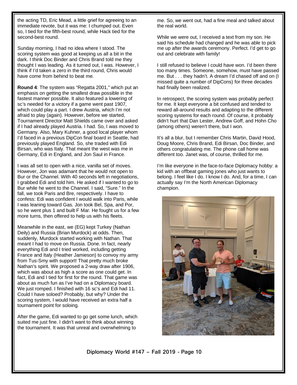the acting TD, Eric Mead, a little grief for agreeing to an immediate revote, but it was me: I chumped out. Even so, I tied for the fifth-best round, while Hack tied for the second-best round.

Sunday morning, I had no idea where I stood. The scoring system was good at keeping us all a bit in the dark. I think Doc Binder and Chris Brand told me they thought I was leading. As it turned out, I was. However, I think if I'd taken a zero in the third round, Chris would have come from behind to beat me.

**Round 4**: The system was "Regatta 2001," which put an emphasis on getting the smallest draw possible in the fastest manner possible. It also featured a lowering of sc's needed for a victory if a game went past 1907, which could play a part. I drew Austria, which I'm not afraid to play (again). However, before we started, Tournament Director Matt Shields came over and asked if I had already played Austria. I had. So, I was moved to Germany. Also, Mary Kuhner, a good local player whom I'd faced in a previous DipCon final board in Seattle, had previously played England. So, she traded with Edi Birsan, who was Italy. That meant the west was me in Germany, Edi in England, and Jon Saul in France.

I was all set to open with a nice, vanilla set of moves. However, Jon was adamant that he would not open to Bur or the Channel. With 40 seconds left in negotiations, I grabbed Edi and told him. He asked if I wanted to go to Bur while he went to the Channel. I said, "Sure." In the fall, we took Paris and Bre, respectively. I have to confess: Edi was confident I would walk into Paris, while I was leaning toward Gas. Jon took Bel, Spa, and Por, so he went plus 1 and built F Mar. He fought us for a few more turns, then offered to help us with his fleets.

Meanwhile in the east, we (EG) kept Turkey (Nathan Deily) and Russia (Brian Murdock) at odds. Then, suddenly, Murdock started working with Nathan. That meant I had to move on Russia. Done. In fact, nearly everything Edi and I tried worked, including getting France and Italy (Heather Jamieson) to convoy my army from Tus-Smy with support! That pretty much broke Nathan's spirit. We proposed a 2-way draw after 1906, which was about as high a score as one could get. In fact, Edi and I tied for first for the round. That game was about as much fun as I've had on a Diplomacy board. We just romped. I finished with 16 sc's and Edi had 11. Could I have soloed? Probably, but why? Under the scoring system, I would have received an extra half a tournament point for soloing.

After the game, Edi wanted to go get some lunch, which suited me just fine. I didn't want to think about winning the tournament. It was that unreal and overwhelming to

me. So, we went out, had a fine meal and talked about the real world.

While we were out, I received a text from my son. He said his schedule had changed and he was able to pick me up after the awards ceremony. Perfect. I'd get to go out and celebrate with family!

I still refused to believe I could have won. I'd been there too many times. Someone, somehow, must have passed me. But . . . they hadn't. A dream I'd chased off and on (I missed quite a number of DipCons) for three decades had finally been realized.

In retrospect, the scoring system was probably perfect for me. It kept everyone a bit confused and tended to reward all-around results and adapting to the different scoring systems for each round. Of course, it probably didn't hurt that Dan Lester, Andrew Goff, and Hohn Cho (among others) weren't there, but I won.

It's all a blur, but I remember Chris Martin, David Hood, Doug Moore, Chris Brand, Edi Birsan, Doc Binder, and others congratulating me. The phone call home was different too. Janet was, of course, thrilled for me.

I'm like everyone in the face-to-face Diplomacy hobby: a kid with an offbeat gaming jones who just wants to belong. I feel like I do. I know I do. And, for a time, I can actually say I'm the North American Diplomacy champion.

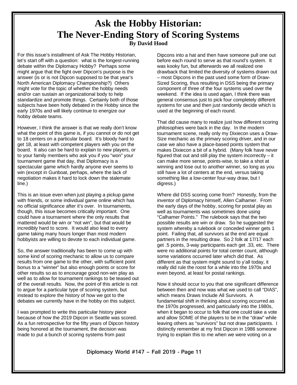# **Ask the Hobby Historian: The Never-Ending Story of Scoring Systems By David Hood**

For this issue's installment of Ask The Hobby Historian, let's start off with a question: what is the longest-running debate within the Diplomacy Hobby? Perhaps some might argue that the fight over Dipcon's purpose is the answer (is or is not Dipcon supposed to be that year's North American Diplomacy Championship?) Others might vote for the topic of whether the hobby needs and/or can sustain an organizational body to help standardize and promote things. Certainly both of those subjects have been hotly debated in the Hobby since the early 1970s and will likely continue to energize our hobby debate teams.

However, I think the answer is that we really don't know what the point of this game is, if you cannot or do not get to 18 centers on a particular board. It's bloody hard to get 18, at least with competent players with you on the board. It also can be hard to explain to new players, or to your family members who ask you if you "won" your tournament game that day, that Diplomacy is a spectacular game which hardly anyone ever seems to win (except in Gunboat, perhaps, where the lack of negotiation makes it hard to lock down the stalemate line.)

This is an issue even when just playing a pickup game with friends, or some individual game online which has no official significance after it's over. In tournaments, though, this issue becomes critically important. One could have a tournament where the only results that mattered would be win or "not win", but that would be incredibly hard to score. It would also lead to every game taking many hours longer than most modern hobbyists are willing to devote to each individual game.

So, the answer traditionally has been to come up with some kind of scoring mechanic to allow us to compare results from one game to the other, with sufficient point bonus to a "winner" but also enough points or score for other results so as to encourage good non-win play as well as to allow for tournament rankings to be teased out of the overall results. Now, the point of this article is not to argue for a particular type of scoring system, but instead to explore the history of how we got to the debates we currently have in the hobby on this subject.

I was prompted to write this particular history piece because of how the 2019 Dipcon in Seattle was scored. As a fun retrospective for the fifty years of Dipcon history being honored at the tournament, the decision was made to put a bunch of scoring systems from past

Dipcons into a hat and then have someone pull one out before each round to serve as that round's system. It was kooky fun, but afterwards we all realized one drawback that limited the diversity of systems drawn out – most Dipcons in the past used some form of Draw-Sized Scoring, thus resulting in DSS being the primary component of three of the four systems used over the weekend. If the idea is used again, I think there was general consensus just to pick four completely different systems for use and then just randomly decide which is used at the beginning of each round.

That did cause many to realize just how different scoring philosophies were back in the day. In the modern tournament scene, really only my Dixiecon uses a Draw-Size mechanic as the primary scoring driver, and in our case we also have a place-based points system that makes Dixiecon a bit of a hybrid. (Many folk have never figured that out and still play the system incorrectly – it can make more sense, points-wise, to take a shot at winning and lose out to another winner, so long as you still have a lot of centers at the end, versus taking something like a low-center four-way draw, but I digress.)

Where did DSS scoring come from? Honestly, from the inventor of Diplomacy himself, Allen Calhamer. From the early days of the hobby, scoring for postal play as well as tournaments was sometimes done using "Calhamer Points." The rulebook says that the two possible results are win or draw. So he suggested the system whereby a rulebook or conceded winner gets 1 point. Failing that, all survivors at the end are equal partners in the resulting draw. So 2 folk at 17/17 each get .5 points, 3-way participants each get .33, etc. There were no additional points for total center count, although some variations occurred later which did that. As different as that system might sound to y'all today, it really did rule the roost for a while into the 1970s and even beyond, at least for postal rankings.

Now it should occur to you that one significant difference between then and now was what we used to call "DIAS", which means Draws Include All Survivors. A fundamental shift in thinking about scoring occurred as the 1970s progressed, and particularly into the 1980s, when it began to occur to folk that one could take a vote and allow SOME of the players to be in the "draw" while leaving others as "survivors" but not draw participants. I distinctly remember at my first Dipcon in 1986 someone trying to explain this to me when we were voting on a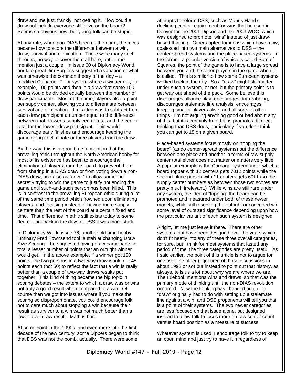draw and me just, frankly, not getting it. How could a draw not include everyone still alive on the board? Seems so obvious now, but young folk can be stupid.

At any rate, when non-DIAS became the norm, the focus became how to score the difference between a win, draw, survival and elimination. There were many such theories, no way to cover them all here, but let me mention just a couple. In issue 60 of Diplomacy World, our late great Jim Burgess suggested a variation of what was otherwise the common theory of the day  $- a$ modified Calhamer Point system where a winner got, for example, 100 points and then in a draw that same 100 points would be divided equally between the number of draw participants. Most of the time, players also a point per supply center, allowing you to differentiate between survival and elimination. Jim's idea was to subtract from each draw participant a number equal to the difference between that drawer's supply center total and the center total for the lowest draw participant. This would discourage early finishes and encourage keeping the game going to eliminate or force players from the draw.

By the way, this is a good time to mention that the prevailing ethic throughout the North American hobby for most of its existence has been to encourage the elimination of players from the board, to prevent them from sharing in a DIAS draw or from voting down a non-DIAS draw, and also as "cover" to allow someone secretly trying to win the game to justify not ending the game until such-and-such person has been killed. This is in contrast to the prevailing European ethic during a lot of the same time period which frowned upon eliminating players, and focusing instead of having more supply centers than the rest of the board at a certain fixed end time. That difference in ethic still exists today to some degree, but back in the days of DSS it was more stark.

In Diplomacy World issue 76, another old-time hobby luminary Fred Townsend took a stab at changing Draw Size Scoring – he suggested giving draw participants in total a lesser number of points that an outright winner would get. In the above example, if a winner got 100 points, the two persons in a two-way draw would get 48 points each (not 50) to reflect the fact that a win is really better than a couple of two-way draws results put together. This kind of thing became the big topic in scoring debates – the extent to which a draw was or was not truly a good result when compared to a win. Of course then we got into issues where if you make the scoring so disproportionate, you could encourage folk not to care much about stopping a win because their result as survivor to a win was not much better than a lower-level draw result. Math is hard.

At some point in the 1990s, and even more into the first decade of the new century, some Dippers began to think that DSS was not the bomb, actually. There were some

attempts to reform DSS, such as Manus Hand's declining center requirement for wins that he used in Denver for the 2001 Dipcon and the 2003 WDC, which was designed to promote "wins" instead of just drawbased thinking. Others opted for ideas which have, now, coalesced into two main alternatives to DSS – the center-spread systems and the place-based systems. In the former, a popular version of which is called Sum of Squares, the point of the game is to have a large spread between you and the other players in the game when it is called. This is similar to how some European systems worked back in the day. So a "draw" might still matter under such a system, or not, but the primary point is to get way out ahead of the pack. Some believe this discourages alliance play, encourages dot-grabbing, discourages stalemate line analysis, encourages keeping smaller players alive, and all sorts of other things. I'm not arguing anything good or bad about any of this, but it is certainly true that is promotes different thinking than DSS does, particularly if you don't think you can get to 18 on a given board.

Place-based systems focus mostly on "topping the board" (as do center-spread systems) but the difference between one place and another in terms of raw supply center total either does not matter or matters very little. A popular example is the Carnage system under which a board topper with 12 centers gets 7012 points while the second-place person with 11 centers gets 6011 (so the supply center numbers as between those two scores are pretty much irrelevant.) While wins are still rare under any system, the idea of "topping" the board can be promoted and measured under both of these newer models, while still reserving the outright or conceded win some level of outsized significance depending upon how the particular variant of each such system is designed.

Alright, let me just leave it there. There are other systems that have been designed over the years which don't fit neatly into any of these three overall categories, for sure, but I think for most systems that lasted any period of time, the three categories are pretty useful. As I said earlier, the point of this article is not to argue for one over the other (I got tired of those discussions in about 1992 or so) but instead to point out that history, as always, tells us a lot about why we are where we are. The rulebook mentions wins and draws, so that was the primary mode of thinking until the non-DIAS revolution occurred. Now the thinking has changed again – a "draw" originally had to do with setting up a stalemate line against a win, and DSS proponents will tell you that is a point of their systems. The two newer categories are less focused on that issue alone, but designed instead to allow folk to focus more on raw center count versus board position as a measure of success.

Whatever system is used, I encourage folk to try to keep an open mind and just try to have fun regardless of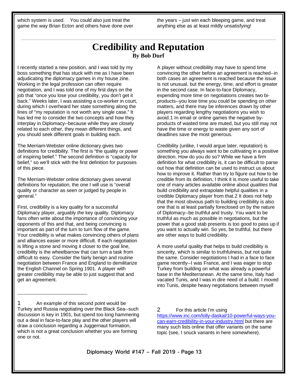which system is used. You could also just treat the game the way Brian Ecton and others have done over the years – just win each bleeping game, and treat anything else as at least mildly unsatisfying!

### **Credibility and Reputation By Bob Durf**

I recently started a new position, and I was told by my boss something that has stuck with me as I have been adjudicating the diplomacy games in my house zine. Working in the legal profession can often require negotiation, and I was told one of my first days on the job that "once you lose your credibility, you don't get it back." Weeks later, I was assisting a co-worker in court, during which I overheard her state something along the lines of "my reputation is not worth any single case." It has led me to consider the two concepts and how they interplay in Diplomacy--because while they are closely related to each other, they mean different things, and you should seek different goals in building each.

The Merriam-Webster online dictionary gives two definitions for credibility. The first is "the quality or power of inspiring belief." The second definition is "capacity for belief," so we'll stick with the first definition for purposes of this piece.

The Merriam-Webster online dictionary gives several definitions for reputation, the one I will use is "overall quality or character as seen or judged by people in general."

First, credibility is a key quality for a successful Diplomacy player, arguably *the* key quality. Diplomacy fans often write about the importance of convincing your opponents of this and that, and being convincing is important as part of the turn to turn flow of the game. Your credibility is what makes convincing others of plans and alliances easier or more difficult. If each negotiation is lifting a stone and moving it closer to the goal line, credibility is the wheelbarrow that can turn a task from difficult to easy. Consider the fairly benign and routine negotiation between France and England to demilitarize the English Channel on Spring 1901. A player with greater credibility may be able to just suggest that and get an agreement.

<span id="page-12-1"></span><span id="page-12-0"></span>An example of this second point would be Turkey and Russia negotiating over the Black Sea--such discussion is key in 1901, but spend too long hammering out a deal in face-to-face play and the other players will draw a conclusion regarding a Juggernaut formation, which is not a great conclusion whether you are forming one or not.

A player without credibility may have to spend time convincing the other before an agreement is reached--in both cases an agreement is reached because the issue is not unusual, but the energy, time, and effort is greater in the second case. In face-to-face Diplomacy, expending more time on negotiations creates two biproducts--you lose time you could be spending on other matters, and there may be inferences drawn by other players regarding lengthy negotiations you wish to avoid.[1](#page-12-0) In email or online games the negative byproducts of wasted time are muted, but you still may not have the time or energy to waste given any sort of deadlines save the most generous.

Credibility (unlike, I would argue later, reputation) is something you always want to be cultivating in a positive direction. How do you do so? While we have a firm definition for what credibility is, it can be difficult to parse out how that definition can be used to instruct us about how to improve it. Rather than try to figure out how to be credible from its definition, I think it is more useful to take one of many articles available online about *qualities* that build credibility and extrapolate helpful qualities in a credible Diplomacy player from that.[2](#page-12-1) It does not help that the most obvious path to building credibility is also one that is at least partially foreclosed on by the nature of Diplomacy--be truthful and trusty. You want to be truthful as much as possible in negotiations, but the power that a good stab presents is too good to pass up if you want to actually win. So yes, be truthful, but there are other ways to build credibility.

A more useful quality that helps to build credibility is sincerity, which is similar to truthfulness, but not quite the same. Consider negotiations I had in a face to face game recently--I was France, and I was eager to stop Turkey from building on what was already a powerful base in the Mediterranean. At the same time, Italy had vacated Tunis, and I was in dire need of a build. I moved into Tunis, despite heavy negotiations between myself

2 For this article I'm using

[https://www.inc.com/lolly-daskal/10-powerful-ways-you](https://www.inc.com/lolly-daskal/10-powerful-ways-you-can-earn-credibility-in-your-industry.html)[can-earn-credibility-in-your-industry.html](https://www.inc.com/lolly-daskal/10-powerful-ways-you-can-earn-credibility-in-your-industry.html) but there are many such lists online that offer variants on the same topic (see, I snuck variants in here somewhere).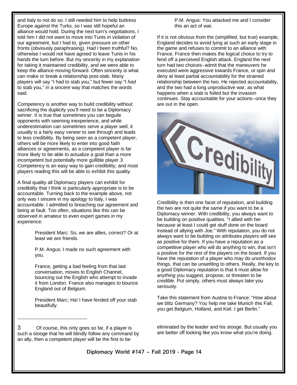and Italy to not do so. I still needed him to help buttress Europe against the Turks, so I was still hopeful an alliance would hold. During the next turn's negotiations, I told him I did not want to move into Tunis in violation of our agreement, but I had to, given pressure on other fronts (obviously paraphrasing). Had I been truthful? No, otherwise I would not have agreed to leave Tunis in his hands the turn before. But my sincerity in my explanation for taking it maintained credibility, and we were able to keep the alliance moving forward. Often sincerity is what can make or break a relationship post-stab. Many players will say "I had to stab you," but fewer say "I *had*  to stab you," in a sincere way that matches the words said.

Competency is another way to build credibility without sacrificing the duplicity you'll need to be a Diplomacy winner. It is true that sometimes you can beguile opponents with seeming inexperience, and while underestimation can sometimes serve a player well, it usually is a fairly easy veneer to see through and leads to less credibility. By being seen as a competent player, others will be more likely to enter into good faith alliances or agreements, as a competent player is far more likely to be able to actualize a goal than a more incompetent but potentially more gullible player.[3](#page-13-0) Competency is an easy way to gain credibility, and most players reading this will be able to exhibit this quality.

A final quality all Diplomacy players can exhibit for credibility that I think is particularly appropriate is to be accountable. Turning back to the example above, not only was I sincere in my apology to Italy, I was accountable. I admitted to breaching our agreement and being at fault. Too often, situations like this can be observed in amateur to even expert games in my experience:

> President Marc: So, we are allies, correct? Or at least we are friends.

P.M. Angus: I made no such agreement with you.

France, getting a bad feeling from that last conversation, moves to English Channel, bouncing out the English who attempt to invade it from London. France also manages to bounce England out of Belgium.

President Marc: Ha! I have fended off your stab beautifully.

<span id="page-13-0"></span>3 Of course, this only goes so far, if a player is such a stooge that he will blindly follow any command by an ally, then a competent player will be the first to be

P.M. Angus: You attacked me and I consider this an act of war.

If it is not obvious from the (simplified, but true) example, England decides to avoid lying at such an early stage in the game and refuses to commit to an alliance with France. France then makes the logical choice to try to fend off a perceived English attack. England the next turn had two choices--admit that the maneuvers he executed were aggressive towards France, or spin and deny at least partial accountability for the strained relationship between the two. He rejected accountability, and the two had a long unproductive war, as what happens when a stab is foiled but the invasion continues. Stay accountable for your actions--once they are out in the open.



Credibility is then one facet of reputation, and building the two are not quite the same if you want to be a Diplomacy winner. With credibility, you always want to be building on positive qualities. "I allied with her because at least I could get stuff done on the board instead of allying with Joe." With reputation, you do not always want to be building on attributes players will see as positive for them. If you have a reputation as a competitive player who will do anything to win, that isn't a positive for the rest of the players on the board. If you have the reputation of a player who may do unorthodox things, that can be unsettling to others. Really, the key to a good Diplomacy reputation is that it must allow for *anything* you suggest, propose, or threaten to be *credible*. Put simply, others must always take you seriously.

Take this statement from Austria to France: "How about we blitz Germany? You help me take Munich this Fall, you get Belgium, Holland, and Kiel. I get Berlin."

eliminated by the leader and his stooge. But usually you are better off looking like you know what you're doing.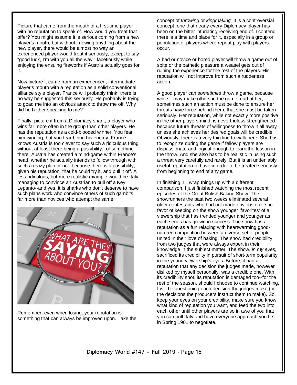Picture that came from the mouth of a first-time player with no reputation to speak of. How would you treat that offer? You might assume it is serious coming from a new player's mouth, but without knowing anything about the new player, there would be almost no way an experienced player would treat it seriously, except to say "good luck, I'm with you all the way," facetiously while enjoying the ensuing fireworks if Austria actually goes for it.

Now picture it came from an experienced, intermediate player's mouth with a reputation as a solid conventional alliance style player. France will probably think "there is no way he suggested this seriously. He probably is trying to goad me into an obvious attack to throw me off. Why did he bother speaking to me?"

Finally, picture it from a Diplomacy shark, a player who wins far more often in the group than other players. He has the reputation as a cold-blooded winner. You fear him winning, but you fear being his enemy. France knows Austria is too clever to say such a ridiculous thing without at least there being a possibility...of something there. Austria has created a mind-game within France's head, whether he actually intends to follow through with such a crazy plan or not, because there is a possibility, given his reputation, that he could try it, and pull it off. A less ridiculous, but more realistic example would be Italy managing to convince an Austrian to pull off a Key Lepanto--and yes, it is sharks who don't deserve to have such plans work who convince others of such gambits far more than novices who attempt the same.



Remember, even when losing, your reputation is something that can always be improved upon. Take the

concept of *throwing* or *kingmaking.* It is a controversial concept, one that nearly every Diplomacy player has been on the bitter infuriating receiving end of. I contend there is a time and place for it, especially in a group or population of players where repeat play with players occur.

A bad or novice or bored player will throw a game out of spite or the pathetic pleasure a weasel gets out of ruining the experience for the rest of the players. His reputation will not improve from such a rudderless action.

A good player can *sometimes* throw a game, because while it may make others in the game mad at her, sometimes such an action must be done to ensure her threats have force behind them, that she must be taken seriously. Her reputation, while not exactly more positive in the other players mind, is nevertheless strengthened because future threats of willingness to throw it all away unless she achieves her desired goals will be credible. Obviously, there is a very thin line to walk here. She has to recognize during the game if fellow players are dispassionate and logical enough to learn the lesson in the throw. And she also has to be realistic in using such a threat very carefully and rarely. But it is an undeniably useful reputation to have in order to be treated seriously from beginning to end of any game.

In finishing, I'll wrap things up with a different comparison. I just finished watching the most recent episodes of the Great British Baking Show. The showrunners the past two weeks eliminated several older contestants who had not made obvious errors in favor of keeping on the show younger 'favorites' of a viewership that has trended younger and younger as each series has grown in success. The show has a reputation as a fun relaxing with heartwarming goodnatured competition between a diverse set of people united in their love of baking. The show had credibility from two judges that were always expert in their knowledge in the subject matter. The show, *in my eyes*, sacrificed its credibility in pursuit of short-term popularity in the young viewership's eyes. Before, it had a reputation that any decision the judges made, however disliked by myself personally, was a credible one. With its credibility shot, its reputation is damaged too--for the rest of the season, should I choose to continue watching, I will be questioning each decision the judges make (or the decisions the producers instruct them to make). So, keep your eyes on your credibility, make sure you know what kind of reputation you want, and feed the two into each other until other players are so in awe of you that you can pull Italy and have everyone approach you first in Spring 1901 to negotiate.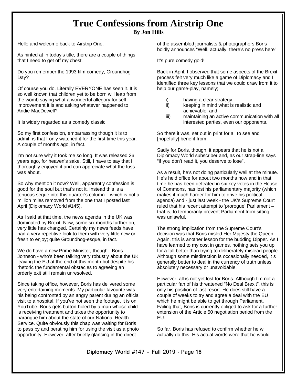### **True Confessions from Airstrip One By Jon Hills**

Hello and welcome back to Airstrip One.

As hinted at in today's title, there are a couple of things that I need to get off my chest.

Do you remember the 1993 film comedy, Groundhog Day?

Of course you do. Literally EVERYONE has seen it. It is so well known that children yet to be born will leap from the womb saying what a wonderful allegory for selfimprovement it is and asking whatever happened to Andie MacDowell?

It is widely regarded as a comedy classic.

So my first confession, embarrassing though it is to admit, is that I only watched it for the first time this year. A couple of months ago, in fact.

I'm not sure why it took me so long. It was released 26 years ago, for heaven's sake. Still, I have to say that I thoroughly enjoyed it and can appreciate what the fuss was about.

So why mention it now? Well, apparently confession is good for the soul but that's not it. Instead this is a tenuous segue into this quarter's column – which is not a million miles removed from the one that I posted last April (Diplomacy World #145).

As I said at that time, the news agenda in the UK was dominated by Brexit. Now, some six months further on, very little has changed. Certainly my news feeds have had a very repetitive look to them with very little new or fresh to enjoy; quite Groundhog-esque, in fact.

We do have a new Prime Minister, though - Boris Johnson - who's been talking very robustly about the UK leaving the EU at the end of this month but despite his rhetoric the fundamental obstacles to agreeing an orderly exit still remain unresolved.

Since taking office, however, Boris has delivered some very entertaining moments. My particular favourite was his being confronted by an angry parent during an official visit to a hospital. If you've not seen the footage, it is on YouTube. Boris gets button-holed by a man whose child is receiving treatment and takes the opportunity to harangue him about the state of our National Health Service. Quite obviously this chap was waiting for Boris to pass by and berating him for using the visit as a photo opportunity. However, after briefly glancing in the direct

of the assembled journalists & photographers Boris boldly announces "Well, actually, there's no press here".

It's pure comedy gold!

Back in April, I observed that some aspects of the Brexit process felt very much like a game of Diplomacy and I identified three key lessons that we could draw from it to help our game-play, namely;

- i) having a clear strategy,
- ii) keeping in mind what is realistic and achievable, and
- iii) maintaining an active communication with all interested parties, even our opponents.

So there it was, set out in print for all to see and [hopefully] benefit from.

Sadly for Boris, though, it appears that he is not a Diplomacy World subscriber and, as our strap-line says "if you don't read it, you deserve to lose".

As a result, he's not doing particularly well at the minute. He's held office for about two months now and in that time he has been defeated in six key votes in the House of Commons, has lost his parliamentary majority (which makes it much harder for him to drive his political agenda) and - just last week - the UK's Supreme Court ruled that his recent attempt to 'prorogue' Parliament – that is, to temporarily prevent Parliament from sitting was unlawful.

The strong implication from the Supreme Court's decision was that Boris misled Her Majesty the Queen. Again, this is another lesson for the budding Dipper. As I have learned to my cost in games, nothing sets you up for a fall better than trying to deliberately mislead people. Although some misdirection is occasionally needed, it s generally better to deal in the currency of truth unless absolutely necessary or unavoidable.

However, all is not yet lost for Boris. Although I'm not a particular fan of his threatened "No Deal Brexit", this is only his position of last resort. He does still have a couple of weeks to try and agree a deal with the EU which he might be able to get through Parliament. Failing that, Boris is currently obliged to ask for a further extension of the Article 50 negotiation period from the EU.

So far, Boris has refused to confirm whether he will actually do this. His actual words were that he would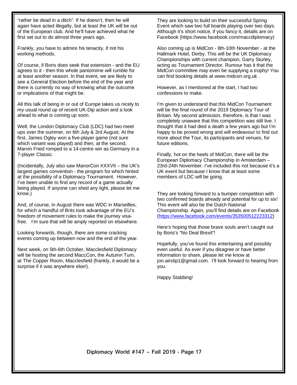"rather be dead in a ditch". If he doesn't, then he will again have acted illegally, but at least the UK will be out of the European club. And he'll have achieved what he first set out to do almost three years ago.

Frankly, you have to admire his tenacity, if not his working methods.

Of course, if Boris does seek that extension - and the EU agrees to it - then this whole pantomime will rumble for at least another season. In that event, we are likely to see a General Election before the end of the year and there is currently no way of knowing what the outcome or implications of that might be.

All this talk of being in or out of Europe takes us nicely to my usual round up of recent UK-Dip action and a look ahead to what is coming up soon.

Well, the London Diplomacy Club (LDC) had two meet ups over the summer, on 6th July & 3rd August. At the first, James Ogley won a five-player game (not sure which variant was played) and then, at the second, Marvin Fried romped to a 14-centre win as Germany in a 7-player Classic.

(Incidentally, July also saw ManorCon XXXVII – the UK's largest games convention - the program for which hinted at the possibility of a Diplomacy Tournament. However, I've been unable to find any record of a game actually being played. If anyone can shed any light, please let me know.)

And, of course, in August there was WDC in Marseilles, for which a handful of Brits took advantage of the EU's freedom of movement rules to make the journey visafree. I'm sure that will be amply reported on elsewhere.

Looking forwards, though, there are some cracking events coming up between now and the end of the year.

Next week, on 5th-6th October, Macclesfield Diplomacy will be hosting the second MaccCon, the Autumn Turn, at The Copper Room, Macclesfield (frankly, it would be a surprise if it was anywhere else!).

They are looking to build on their successful Spring Event which saw two full boards playing over two days. Although it's short notice, if you fancy it, details are on Facebook (https://www.facebook.com/maccdiplomacy)

Also coming up is MidCon - 8th-10th November - at the Hallmark Hotel, Derby. This will be the UK Diplomacy Championships with current champion, Garry Sturley, acting as Tournament Director. Rumour has it that the MidCon committee may even be supplying a trophy! You can find booking details at www.midcon.org.uk .

However, as I mentioned at the start, I had two confessions to make.

I'm given to understand that this MidCon Tournament will be the final round of the 2019 Diplomacy Tour of Britain. My second admission, therefore, is that I was completely unaware that this competition was still live. I thought that it had died a death a few years ago but I'm happy to be proved wrong and will endeavour to find out more about the Tour, its participants and venues, for future editions.

Finally, hot on the heels of MidCon, there will be the European Diplomacy Championship in Amsterdam – 23rd-24th November. I've included this not because it's a UK event but because I know that at least some members of LDC will be going.

They are looking forward to a bumper competition with two confirmed boards already and potential for up to six! This event will also be the Dutch National Championship. Again, you'll find details are on Facebook [\(https://www.facebook.com/events/353500512223312\)](https://www.facebook.com/events/353500512223312)

Here's hoping that those brave souls aren't caught out by Boris's "No Deal Brexit"!

Hopefully, you've found this entertaining and possibly even useful. As ever if you disagree or have better information to share, please let me know at jon.airstip1@gmail.com. I'll look forward to hearing from you.

Happy Stabbing!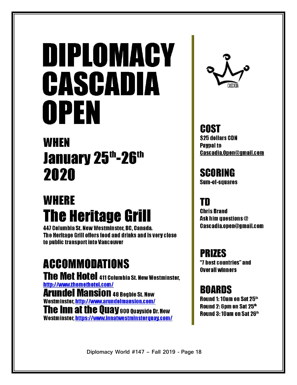# DIPLOMACY CASCADIA **OPEN**

# **WHEN January 25th-26th** 2020

# **WHERE The Heritage Grill**

447 Columbia St. New Westminster, BC. Canada. The Heritage Grill offers food and drinks and is very close to public transport into Vancouver

# **ACCOMMODATIONS**

The Met Hotel 411 Columbia St. New Westminster, http://www.themethotel.com/ **Arundel Mansion** 48 Begbie St. New Westminster, http://www.arundelmansion.com/ The Inn at the Quay 900 Quayside Dr. New Westminster, https://www.innatwestminsterquay.com/



COST \$25 dollars CDN **Paypal to Cascadia.Open@gmail.com** 

**SCORING** Sum-of-squares

TD **Chris Brand** Ask him questions @ Cascadia.open@gmail.com

**PRIZES** "7 best countries" and **Overall winners** 

**BOARDS** Round 1: 10am on Sat 25<sup>th</sup> Round 2: 6pm on Sat 25th Round 3:10am on Sat 26<sup>th</sup>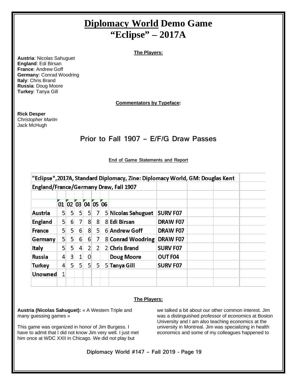# **Diplomacy World Demo Game "Eclipse" – 2017A**

|  |  | The Players: |  |
|--|--|--------------|--|
|  |  |              |  |

**Austria**: Nicolas Sahuguet **England**: Edi Birsan **France**: Andrew Goff **Germany**: Conrad Woodring **Italy**: Chris Brand **Russia**: Doug Moore **Turkey**: Tanya Gill

#### **Commentators by Typeface:**

#### **Rick Desper** *Christopher Martin* Jack McHugh

## **Prior to Fall 1907 – E/F/G Draw Passes**

**End of Game Statements and Report**

|                |                  |                         |                |                |                | "Eclipse", 2017A, Standard Diplomacy, Zine: Diplomacy World, GM: Douglas Kent |                 |  |  |
|----------------|------------------|-------------------------|----------------|----------------|----------------|-------------------------------------------------------------------------------|-----------------|--|--|
|                |                  |                         |                |                |                | England/France/Germany Draw, Fall 1907                                        |                 |  |  |
|                |                  |                         |                |                |                |                                                                               |                 |  |  |
|                |                  | [01] 02] 03] 04] 05] 06 |                |                |                |                                                                               |                 |  |  |
| Austria        | 5                | 5                       | 5 <sup>1</sup> | 5 <sup>1</sup> | 7              | 5 Nicolas Sahuguet                                                            | <b>SURV F07</b> |  |  |
| <b>England</b> | 5 <sup>1</sup>   | $6 \mid$                | 7              | 8 <sup>°</sup> | 8              | 8 Edi Birsan                                                                  | <b>DRAW F07</b> |  |  |
| <b>France</b>  | 51               | 5 <sup>1</sup>          | 6 <sup>1</sup> | 8 <sup>1</sup> | 5 <sup>1</sup> | 6 Andrew Goff                                                                 | <b>DRAW F07</b> |  |  |
| Germany        | 5                | 5 <sup>1</sup>          | 6 <sup>1</sup> | 6 <sup>1</sup> | $\overline{7}$ | 8 Conrad Woodring                                                             | DRAW F07        |  |  |
| <b>Italy</b>   | 5                | $\mathsf{S}$            | 4              | 2 <sup>1</sup> | $\overline{2}$ | 2 Chris Brand                                                                 | <b>SURV F07</b> |  |  |
| <b>Russia</b>  | $\left 4\right $ | 3 <sup>1</sup>          | $1\vert$       | $\overline{O}$ |                | <b>Doug Moore</b>                                                             | OUT F04         |  |  |
| <b>Turkey</b>  | $\left 4\right $ | 5 <sup>1</sup>          | 5 <sup>1</sup> | 5 <sup>1</sup> | 5 <sup>1</sup> | 5 Tanya Gill                                                                  | <b>SURV F07</b> |  |  |
| Unowned        | 1                |                         |                |                |                |                                                                               |                 |  |  |
|                |                  |                         |                |                |                |                                                                               |                 |  |  |

#### **The Players:**

**Austria (Nicolas Sahuguet):** « A Western Triple and many guessing games »

This game was organized in honor of Jim Burgess. I have to admit that I did not know Jim very well. I just met him once at WDC XXII in Chicago. We did not play but

we talked a bit about our other common interest. Jim was a distinguished professor of economics at Boston University and I am also teaching economics at the university in Montreal. Jim was specializing in health economics and some of my colleagues happened to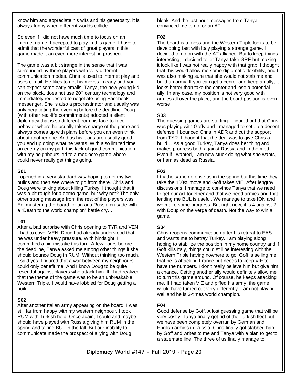know him and appreciate his wits and his generosity. It is always funny when different worlds collide.

So even if I did not have much time to focus on an internet game, I accepted to play in this game. I have to admit that the wonderful cast of great players in this game made it an even more interesting prospect.

The game was a bit strange in the sense that I was surrounded by three players with very different communication modes. Chris is used to internet play and uses e-mail. He likes to get his moves in early and you can expect some early emails. Tanya, the new young kid on the block, does not use 20<sup>th</sup> century technology and immediately requested to negotiate using Facebook messenger. She is also a procrastinator and usually was only negotiating the evening before the deadline. Doug (with other real-life commitments) adopted a silent diplomacy that is so different from his face-to-face behavior where he usually takes charge of the game and always comes up with plans before you can even think about another one. And as his plans are usually good, you end up doing what he wants. With also limited time an energy on my part, this lack of good communication with my neighbours led to a mediocre game where I could never really get things going.

#### **S01**

I opened in a very standard way hoping to get my two builds and then see where to go from there. Chris and Doug were talking about killing Turkey. I thought that it was a bit rough for a demo game, but why not? The only other strong message from the rest of the players was Edi mustering the board for an anti-Russia crusade with a "Death to the world champion" battle cry…

#### **F01**

After a bad surprise with Chris opening to TYR and VEN, I had to cover VEN. Doug had already understood that he was under heavy pressure. With hindsight, I committed a big mistake this turn. A few hours before the deadline, Tanya asked me among other things if she should bounce Doug in RUM. Without thinking too much, I said yes. I figured that a war between my neighbours could only benefit me. And I know Doug to be quite resentful against players who attack him. If I had realized that the theme of the game was to be an unbreakable Western Triple, I would have lobbied for Doug getting a build.

#### **S02**

After another Italian army appearing on the board, I was still far from happy with my western neighbour. I took RUM with Turkish help. Once again, I could and maybe should have played with Russia giving him RUM in the spring and taking BUL in the fall. But our inability to communicate made the prospect of allying with Doug

bleak. And the last hour messages from Tanya convinced me to go for an AT.

#### **F02**

The board is a mess and the Western Triple looks to be developing fast with Italy playing a strange game. I decided to go on with the AT alliance. But to keep things interesting, I decided to let Tanya take GRE but making it look like I was not really happy with that grab. I thought that this would allow me some diplomatic flexibility, and I was also making sure that she would not stab me and build an army. If you can get a center and keep an ally, it looks better than take the center and lose a potential ally. In any case, my position is not very good with armies all over the place, and the board position is even worse

#### **S03**

The guessing games are starting. I figured out that Chris was playing with Goffy and I managed to set up a decent defense. I bounced Chris in ADR and cut the support from TYR. I thought that the deal was to give Chris a build… As a good Turkey, Tanya does her thing and makes progress both against Russia and in the med. Even if I wanted, I am now stuck doing what she wants, or I am as dead as Russia.

#### **F03**

I try the same defense as in the spring but this time they take the 100% move and Goff takes VIE. After lengthy discussions, I manage to convince Tanya that we need to get our act together and that we need armies and that lending me BUL is useful. We manage to take ION and we make some progress. But right now, it is 4 against 2 with Doug on the verge of death. Not the way to win a game.

#### **S04**

Chris reopens communication after his retreat to EAS and wants me to betray Turkey. I am playing along hoping to stabilize the position in my home country and if Goff kills Italy, things could still be interesting with the Western Triple having nowhere to go. Goff is selling me that he is attacking France but needs to keep VIE to have the numbers. I don't really believe him but give him a chance. Getting another ally would definitely allow me to turn this game around. Of course, he keeps attacking me. If I had taken VIE and piffed his army, the game would have turned out very differently. I am not playing well and he is 3-times world champion.

#### **F04**

Good defense by Goff. A lost guessing game that will be very costly. Tanya finally got rid of the Turkish fleet but we have been completely overrun by German and English armies in Russia. Chris finally got stabbed hard by Goff and writes to me and Tanya with a plan to get to a stalemate line. The three of us finally manage to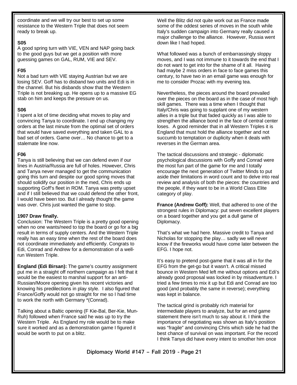coordinate and we will try our best to set up some resistance to the Western Triple that does not seem ready to break up.

#### **S05**

A good spring turn with VIE, VEN and NAP going back to the good guys but we get a position with more guessing games on GAL, RUM, VIE and SEV.

#### **F05**

Not a bad turn with VIE staying Austrian but we are losing SEV. Goff has to disband two units and Edi is in the channel. But his disbands show that the Western Triple is not breaking up. He opens up to a massive EG stab on him and keeps the pressure on us.

#### **S06**

I spent a lot of time deciding what moves to play and convincing Tanya to coordinate. I end up changing my orders at the last minute from the optimal set of orders that would have saved everything and taken GAL to a bad set of orders. Game over… No chance to get to a stalemate line now.

#### **F06**

Tanya is still believing that we can defend even if our lines in Austria/Russia are full of holes. However, Chris and Tanya never managed to get the communication going this turn and despite our good spring moves that should solidify our position in the med, Chris ends up supporting Goff's fleet in ROM. Tanya was pretty upset and if I still believed that we could defend the other front, I would have been too. But I already thought the game was over. Chris just wanted the game to stop.

#### **1907 Draw finally.**

Conclusion: The Western Triple is a pretty good opening when no one wants/need to top the board or go for a big result in terms of supply centers. And the Western Triple really has an easy time when the rest of the board does not coordinate immediately and efficiently. Congrats to Edi, Conrad and Andrew for a demonstration of a wellrun Western Triple.

**England (Edi Birsan):** The game's country assignment put me in a straight off northern campaign as I felt that it would be the easiest to marshal support for an anti-Russian/Moore opening given his recent victories and knowing his predilections in play style. I also figured that France/Goffy would not go straight for me so I had time to work the north with Germany \*(Conrad).

Talking about a Baltic opening (F Kie-Bal, Ber-Kie, Mun-Ruh) followed when France said he was up to try the Western Triple. As England my role would be to make sure it worked and as a demonstration game I figured it would be worth to put on a blitz.

Well the Blitz did not quite work out as France made some of the oddest series of moves in the south while Italy's sudden campaign into Germany really caused a major challenge to the alliance. However, Russia went down like I had hoped.

What followed was a bunch of embarrassingly sloppy moves, and I was not immune to it towards the end that I do not want to get into for the shame of it all. Having had maybe 2 miss orders in face to face games this century, to have two in an email game was enough for me to consider Prozac with my evening tea.

Nevertheless, the pieces around the board prevailed over the pieces on the board as in the case of most high skill games. There was a time when I thought that Italy/Chris was going to supplant one of my western allies in a triple but that faded quickly as I was able to strengthen the alliance bond in the face of central center loses. A good reminder that in all Western Triples it is England that must hold the alliance together and not succumb to temptation or duplicity when it deals with reverses in the German area.

The tactical discussions and strategic - diplomatic psychological discussions with Goffy and Conrad were the most fun part of the game for me and I totally encourage the next generation of Twitter Minds to put aside their limitations in word count and to delve into real review and analysis of both the pieces: the countries and the people, if they want to be in a World Class Elite category of play.

**France (Andrew Goff):** Well, that adhered to one of the strongest rules in Diplomacy: put seven excellent players on a board together and you get a dull game of Diplomacy.

That's what we had here. Massive credit to Tanya and Nicholas for stopping the play… sadly we will never know if the fireworks would have come later between the EFG. I hope not.

It's easy to pretend post-game that it was all in for the EFG from the get-go but it wasn't. A critical missed bounce in Western Med left me without options and Edi's already good proposal was locked in by misadventure. I tried a few times to mix it up but Edi and Conrad are too good (and probably the same in reverse); everything was kept in balance.

The tactical grind is probably rich material for intermediate players to analyze, but for an end game statement there isn't much to say about it. I think the importance of negotiating was shown as Italy's position was "fragile" and convincing Chris which side he had the best chance of survival on was important. For the record I think Tanya did have every intent to smother him once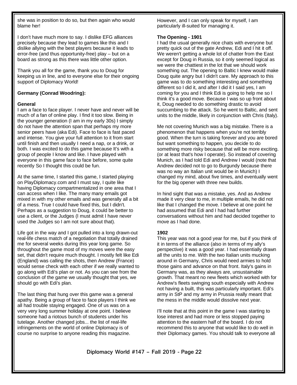she was in position to do so, but then again who would blame her!

I don't have much more to say. I dislike EFG alliances precisely because they lead to games like this and I dislike allying with the best players because it leads to error-free (and thus opportunity-free) play – but on a board as strong as this there was little other option.

Thank you all for the game, thank you to Doug for keeping us in line, and to everyone else for their ongoing support of Diplomacy World!

#### **Germany (Conrad Woodring):**

#### **General**

I am a face to face player. I never have and never will be much of a fan of online play. I find it too slow. Being in the younger generation (I am in my early 30s) I simply do not have the attention span that perhaps my more senior peers have (aka Edi). Face to face is fast paced and intense. You give your full attention to it from start until finish and then usually I need a nap, or a drink, or both. I was excited to do this game because It's with a group of people I know and like. I have played with everyone in this game face to face before, some quite recently So I thought this could be fun.

At the same time, I started this game, I started playing on PlayDiplomacy.com and I must say, I quite like having Diplomacy compartmentalized in one area that I can access when I like. The many many emails got mixed in with my other emails and was generally all a bit of a mess. True I could have fixed this, but I didn't. Perhaps as a suggestion to Doug, it could be better to use a client, or the Judges (I must admit I have never used the Judges so I am not sure about that).

Life got in the way and I got pulled into a long drawn-out real-life chess match of a negotiation that totally drained me for several weeks during this year long game. So throughout the game most of my moves were the easy set, that didn't require much thought. I mostly felt like Edi (England) was calling the shots, then Andrew (France) would sense check with each other if we really wanted to go along with Edi's plan or not. As you can see from the conclusion of the game we usually thought that yes, we should go with Edi's plan.

The last thing that hung over this game was a general apathy. Being a group of face to face players I think we all had trouble staying engaged. One of us was on a very very long summer holiday at one point. I believe someone had a riotous bunch of students under his tutelage. Another changed jobs... the list of real-life infringements on the world of online Diplomacy is of course no surprise to anyone reading this magazine.

However, and I can only speak for myself, I am particularly ill-suited for managing it.

#### **The Opening - 1901**

I had the usual generally nice chats with everyone but pretty quick out of the gate Andrew, Edi and I hit it off. We weren't getting a whole lot of chatter from the East except for Doug in Russia, so it only seemed logical as we were the chattiest in the lot that we should work something out. The opening to Baltic I knew would make Doug quite angry but I didn't care. My approach to this game was to do something interesting and something different so I did it, and after I did it I said yes, I am coming for you and I think Edi is going to help me so I think it's a good move. Because I was so up front about it, Doug needed to do something drastic to avoid succumbing to the attack. So he went to Baltic, and sent units to the middle, likely in conjunction with Chris (Italy).

Me not covering Munich was a big mistake. There is a phenomenon that happens when you're not terribly good. When the turn is taking forever and you are bored but want something to happen, you decide to do something more risky because that will be more exciting. (or at least that's how I operate). So instead of covering Munich, as I had told Edi and Andrew I would (note that Andrew decided not to go to Burgundy because there was no way an Italian unit would be in Munich) I changed my mind, about five times, and eventually went for the big opener with three new builds.

In hind sight that was a mistake, yes. And as Andrew made it very clear to me, in multiple emails, he did not like that I changed the move. I believe at one point he had assumed that Edi and I had had further conversations without him and had decided together to move as I had done.

#### **1902**

This year was not a good year for me, but if you think of it in terms of the alliance (also in terms of my ally's perspective) it was a good year. I had essentially drawn all the units to me. With the two Italian units mucking around in Germany, Chris would need armies to hold those gains and advance on that front. Italy's gains in Germany was, as they always are, unsustainable growth. That meant no new fleets which worked with for Andrew's fleets swinging south especially with Andrew not having a built, this was particularly important. Edi's army in StP and my army in Prussia really meant that the mess in the middle would dissolve next year.

I'll note that at this point in the game I was starting to lose interest and had more or less stopped paying attention to the eastern half of the board. I do not recommend this to anyone that would like to do well in their Diplomacy games. You should talk to everyone all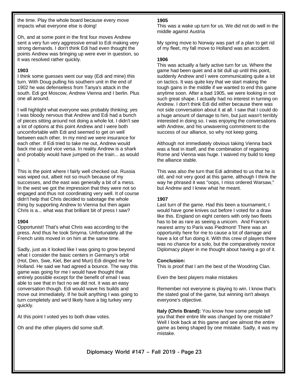the time. Play the whole board because every move impacts what everyone else is doing!

Oh, and at some point in the first four moves Andrew sent a very fun very aggressive email to Edi making very strong demands. I don't think Edi had even thought the points Andrew was bringing up were ever in question, so it was resolved rather quickly.

#### **1903**

I think some guesses went our way (Edi and mine) this turn. With Doug pulling his southern unit in the end of 1902 he was defenseless from Tanya's attack in the south. Edi got Moscow, Andrew Vienna and I berlin. Plus one all around.

I will highlight what everyone was probably thinking; yes I was bloody nervous that Andrew and Edi had a bunch of pieces sitting around not doing a whole lot. I didn't see a lot of options at this point Andrew and I were both uncomfortable with Edi and seemed to get on well between each other. In my mind we were insurance for each other. If Edi tried to take me out, Andrew would back me up and vice versa. In reality Andrew is a shark and probably would have jumped on the train... as would I.

This is the point where I fairly well checked out. Russia was wiped out, albeit not so much because of my successes, and the east was generally a bit of a mess. In the west we got the impression that they were not so engaged and thus not coordinating very well. It of course didn't help that Chris decided to sabotage the whole thing by supporting Andrew to Vienna but then again Chris is a... what was that brilliant bit of press I saw?

#### **1904**

Opportunist! That's what Chris was according to the press. And thus he took Smyrna. Unfortunately all the French units moved in on him at the same time.

Sadly, just as it looked like I was going to grow beyond what I consider the basic centers in Germany's orbit (Hol, Den, Swe, Kiel, Ber and Mun) Edi dinged me for Holland. He said we had agreed a bounce. The way this game was going for me I would have thought that entirely possible except for the benefit of email I was able to see that in fact no we did not. it was an easy conversation though. Edi would wave his builds and move out immediately. If he built anything I was going to turn completely and we'd likely have a big turkey very quickly.

At this point I voted yes to both draw votes.

Oh and the other players did some stuff.

#### **1905**

This was a wake up turn for us. We did not do well in the middle against Austria

My spring move to Norway was part of a plan to get rid of my fleet, my fall move to Holland was an accident.

#### **1906**

This was actually a fairly active turn for us. Where the game had been quiet and a bit dull up until this point, suddenly Andrew and I were communicating quite a lot on tactics. It was quite key that we start making the tough gains in the middle if we wanted to end this game anytime soon. After a bad 1905, we were looking in not such great shape. I actually had no interest in turning on Andrew. I don't think Edi did either because there was not side conversation about it at all. I saw that I could do a huge amount of damage to him, but just wasn't terribly interested in doing so. I was enjoying the conversations with Andrew, and his unwavering commitment to the success of our alliance, so why not keep going.

Although not immediately obvious taking Vienna back was a feat in itself, and the combination of regaining Rome and Vienna was huge. I waived my build to keep the alliance stable.

This was also the turn that Edi admitted to us that he is old, and not very good at this game, although I think the way he phrased it was "oops, I miss ordered Warsaw," but Andrew and I knew what he meant.

#### **1907**

Last turn of the game. Had this been a tournament, I would have gone knives out before I voted for a draw like this. England on eight centers with only two fleets has to be as rare as seeing a unicorn. And France's nearest army to Paris was Piedmont! There was an opportunity here for me to cause a lot of damage and have a lot of fun doing it. With this crew of players there was no chance for a solo, but the comparatively novice Diplomacy player in me thought about having a go of it.

#### **Conclusion:**

This is proof that I am the best of the Woodring Clan.

Even the best players make mistakes

Remember not everyone is playing to win. I know that's the stated goal of the game, but winning isn't always everyone's objective.

**Italy (Chris Brand):** You know how some people tell you that their entire life was changed by one mistake? Well I look back at this game and see almost the entire game as being shaped by one mistake. Sadly, it was my mistake.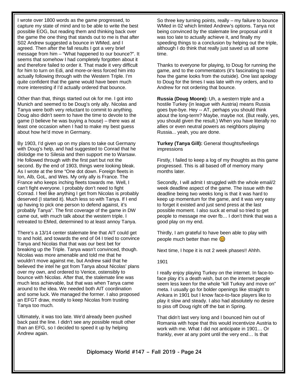I wrote over 1800 words as the game progressed, to capture my state of mind and to be able to write the best possible EOG, but reading them and thinking back over the game the one thing that stands out to me is that after S02 Andrew suggested a bounce in WMed, and I agreed. Then after the fall results I got a very brief message from him – "What happened to our bounce?". It seems that somehow I had completely forgotten about it and therefore failed to order it. That made it very difficult for him to turn on Edi, and more-or-less forced him into actually following through with the Western Triple. I'm quite confident that the game would have been much more interesting if I'd actually ordered that bounce.

Other than that, things started out ok for me. I got into Munich and seemed to be Doug's only ally. Nicolas and Tanya were both very reluctant to commit to anything. Doug also didn't seem to have the time to devote to the game (I believe he was buying a house) – there was at least one occasion when I had to make my best guess about how he'd move in Germany.

By 1903, I'd given up on my plans to take out Germany with Doug's help, and had suggested to Conrad that he dislodge me to Silesia and then support me to Warsaw. He followed through with the first part but not the second. By the end of 1903, things were looking bleak. As I wrote at the time "One dot down. Foreign fleets in Ion, Alb, GoL, and Wes. My only ally is France. The France who keeps inching fleets towards me. Well, I can't fight everyone. I probably don't need to fight Conrad. I feel like anything I get from Nicolas is probably deserved (I started it). Much less so with Tanya. If I end up having to pick one person to defend against, it's probably Tanya". The first coverage of the game in DW came out, with much talk about the western triple. I retreated to EMed, determined to at least annoy Tanya.

There's a 13/14 center stalemate line that AIT could get to and hold, and towards the end of 04 I tried to convince Tanya and Nicolas that that was our best bet for breaking up the Triple. Tanya wasn't convinced, though. Nicolas was more amenable and told me that he wouldn't move against me, but Andrew said that he believed the intel he got from Tanya about Nicolas' plans over my own, and ordered to Venice, ostensibly to bounce with Nicolas. After that, the stalemate line was much less achievable, but that was when Tanya came around to the idea. We needed both AIT coordination and some luck. We managed the former. I also proposed an EFGT draw, mostly to keep Nicolas from trusting Tanya too much.

Ultimately, it was too late. We'd already been pushed back past the line. I didn't see any possible result other than an EFG, so I decided to speed it up by helping Andrew again.

So three key turning points, really – my failure to bounce WMed in 02 which limited Andrew's options. Tanya not being convinced by the stalemate line proposal until it was too late to actually achieve it, and finally my speeding things to a conclusion by helping out the triple, although I do think that really just saved us all some time.

Thanks to everyone for playing, to Doug for running the game, and to the commentators (it's fascinating to read how the game looks from the outside). One last apology to Doug for the times I was late with my orders, and to Andrew for not ordering that bounce.

**Russia (Doug Moore):** Uh, a western triple and a hostile Turkey (in league with Austria) means Russia goes bye-bye. Hey -- AT, perhaps you should think about the long-term? Maybe, maybe not. (But really, yes, you should given the result.) When you have literally no allies or even neutral powers as neighbors playing Russia... yeah, you are done.

#### **Turkey (Tanya Gill):** General thoughts/feelings impressions

Firstly, I failed to keep a log of my thoughts as this game progressed. This is all based off of memory many months later.

Secondly, I will admit I struggled with the whole email/2 week deadline aspect of the game. The issue with the deadline being two weeks long is that it was hard to keep up momentum for the game, and it was very easy to forget it existed and just send press at the last possible moment. I also suck at email so tried to get people to message me over fb… I don't think that was a good play on my end.

Thirdly, I am grateful to have been able to play with people much better than me  $\odot$ 

Next time, I hope it is not 2 week phases!! Ahhh.

#### 1901

I really enjoy playing Turkey on the internet. In face-toface play it's a death wish, but on the internet people seem less keen for the whole "kill Turkey and move on" meta. I usually go for bolder openings like straight to Ankara in 1901 but I know face-to-face players like to play it slow and steady. I also had absolutely no desire to piss off Doug right off the bat in Spring.

That didn't last very long and I bounced him out of Romania with hope that this would incentivize Austria to work with me. What I did not anticipate in 1901… Or frankly, ever at any point until the very end… Is that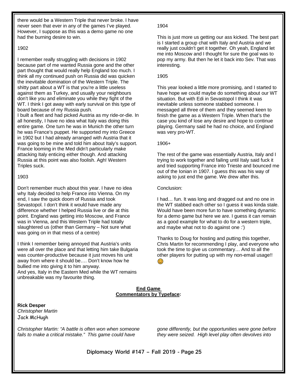there would be a Western Triple that never broke. I have never seen that ever in any of the games I've played. However, I suppose as this was a demo game no one had the burning desire to win.

#### 1902

I remember really struggling with decisions in 1902 because part of me wanted Russia gone and the other part thought that would really help England too much. I think all my continued push on Russia did was quicken the inevitable domination of the Western Triple. The shitty part about a WT is that you're a little useless against them as Turkey, and usually your neighbours don't like you and eliminate you while they fight of the WT. I think I got away with early survival on this type of board because of my Russia push.

I built a fleet and had picked Austria as my ride-or-die. In all honestly, I have no idea what Italy was doing this entire game. One turn he was in Munich the other turn he was France's puppet. He supported my into Greece in 1902 but I had already arranged with Austria that it was going to be mine and told him about Italy's support. France looming in the Med didn't particularly make attacking Italy enticing either though. And attacking Russia at this point was also foolish. Agh! Western Triples suck.

#### 1903

Don't remember much about this year. I have no idea why Italy decided to help France into Vienna. On my end, I saw the quick doom of Russia and took Sevastopol. I don't think it would have made any difference whether I helped Russia live or die at this point. England was getting into Moscow, and France was in Vienna, and this Western Triple had totally slaughtered us (other than Germany – Not sure what was going on in that mess of a centre)

I think I remember being annoyed that Austria's units were all over the place and that letting him take Bulgaria was counter-productive because it just moves his unit away from where it should be…. Don't know how he bullied me into giving it to him anyway. And yes, Italy in the Eastern Med while the WT remains unbreakable was my favourite thing.

#### 1904

This is just more us getting our ass kicked. The best part is I started a group chat with Italy and Austria and we really just couldn't get it together. Oh yeah, England let me into Moscow and I thought for sure the goal was to pop my army. But then he let it back into Sev. That was interesting.

#### 1905

This year looked a little more promising, and I started to have hope we could maybe do something about our WT situation. But with Edi in Sevastopol I think it was inevitable unless someone stabbed someone. I messaged all three of them and they seemed keen to finish the game as a Western Triple. When that's the case you kind of lose any desire and hope to continue playing. Germany said he had no choice, and England was very pro-WT.

#### 1906+

The rest of the game was essentially Austria, Italy and I trying to work together and failing until Italy said fuck it and tried supporting France into Trieste and bounced me out of the Ionian in 1907. I guess this was his way of asking to just end the game. We drew after this.

#### Conclusion:

I had… fun. It was long and dragged out and no one in the WT stabbed each other so I guess it was kinda stale. Would have been more fun to have something dynamic for a demo game but here we are. I guess it can remain as a good example for what to do for a western triple, and maybe what not to do against one :')

Thanks to Doug for hosting and putting this together, Chris Martin for recommending I play, and everyone who took the time to give us commentary… And to all the other players for putting up with my non-email usage!!  $\odot$ 

**End Game Commentators by Typeface:**

**Rick Desper** *Christopher Martin* Jack McHugh

*Christopher Martin: "A battle is often won when someone fails to make a critical mistake." This game could have* 

*gone differently, but the opportunities were gone before they were seized. High level play often devolves into*